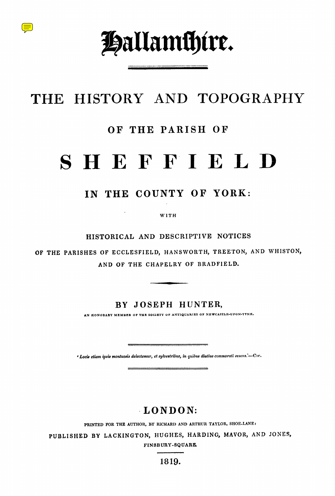

# **THE** HISTORY AND TOPOGRAPHY

## **OF THE PARISH OF**

# **SHEFFIELD**

# **IN THE COUNTY OF YORK:**

**WITH**

**HISTORICAL AND DESCRIPTIVE NOTICES**

**OF THE PARISHES OF ECCLESFIELD, HANSWORTH, TREETON, AND WHISTON, AND OF THE CHAPELRY OF BRADFIELD.**

**BY JOSEPH HUNTER,**

*AN HONORARY MEMBER OF THE SOCIETY OF ANTIQUARIES OF NEWCASTLE-UPON-TYNE.*

**'** *Loci. etiam ipsis montuosis delectemur, et sylvestribus, in quibus diutius commorati sumus .'—CF***e.**

# **LONDON:**

**PRINTED FOR THE AUTHOR, BY RICHARD AND ARTHUR TAYLOR, SHOE-LANE:**

**PUBLISHED BY LACKINGTON, HUGHES, HARDING, MAYOR, AND JONES,**

**FINSBURY-SQUARE.**

**1819.**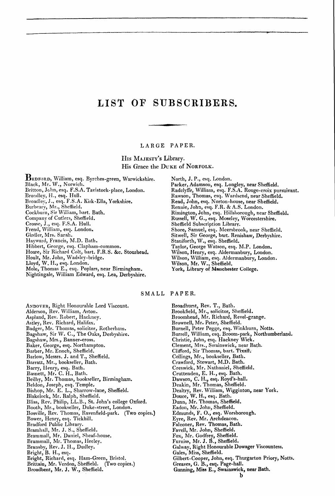# LIST OF SUBSCRIBERS.

#### LARGE PAPER.

HIs MAJESTY'S Library. His Grace the DUKE of NORFOLK.

**BEDFORD,** William, esq . Byrches-green, Warwickshire. Black, Mr.  $\rm W$ ., Norwich. Britton, John, esq. F.S.A. Tavistock-place, London. Broadley, H., esq. Hull. Broadley, J ., esq. F.S .A . Kirk-Ella, Yorkshire. Burbeary, Mr., Sheffield. Cockburn, Sir William, hart. Bath. Company of Cutlers, Sheffield. Crosse, J., esq. F.S.A. Hull. Frend, William, esq. London. Girdler, Mrs. Sarah. Hayward, Francis, M.D. Bath. Hibbert, George, esq. Clapham-common. Hoare, Sir Richard Colt, bart. F.R.S. &c. Stourhead. Hoult, Mr. John, Wadsley-bridge. Lloyd, W. H., esq. London. Mole, Thomas E., esq. Poplars, near Birmingham. Nightingale, William Edward, esq. Lea, Derbyshire.

North, J. P., esq. London. Parker, Adamson, esq. Longley, near Sheffield. Radclyffe, William, esq. F.S.A. Rouge-croix pursuivant. Rawson, Thomas, esq . Wardsend, near Sheffield. Read, John, esq. Norton-house, near Sheffield. Rennie, John, esq. F.R. & A.S. London. Rimington, John, esq . Hillsborough, near Sheffield. Russell, W. G., esq. Moseley, Worcestershire. Sheffield Subscription Library. Shore, Samuel, esq. Meersbrook, near Sheffield. Sitwell, Sir George, bart. Renishaw, Derbyshire. Staniforth, W., esq. Sheffield. Taylor, George Watson, esq. M.P. London. Wilson, Henry, esq. Aldermanbury, London. Wilson, William, esq. Aldermanbury, London. Wilson, Mr. W., Sheffield. York, Library of **Manchester** College.

SMALL PAPER.

ANDOVER, Right Honourable Lord Viscount. Alderson, Rev. William, Aston. Aspland, Rev. Robert, Hackney. Astley, Rev. Richard, Halifax. Badger, Mr. Thomas, solicitor, Rotherham. Bagshaw, Sir W. C., The Oaks, Derbyshire. Bagshaw, Mrs., Banner-cross. Baker, George, esq. Northampton. Barber, Mr. Enoch, Sheffield. Barlow, Messrs. J. and T., Sheffield. Barratt, Mr., bookseller, Bath. Barry, Henry, esq. Bath. Basnett, Mr. C. H., Bath. Beilby, Mr. Thomas, bookseller, Birmingham. Beldon, Joseph, esq. Temple. Bishop, Mr. E. L., Sharrow-lane, Sheffield Blakelock, Mr . Ralph, Sheffield. Bliss, Rev. Philip, LL.B ., St. John's college Oxford. Booth, Mr., bookseller, Duke-street, London. Bosville, Rev. Thomas, Ravenfield-park . (Two copies.) Bower, Henry, esq. Tickhill. Bradford Public Library. Bramhall, Mr. J. S., Sheffield. Brammall, Mr. Daniel, Sheaf-house. Brammall, Mr. Thomas, Heeley. Bransby, Rev. J. H., Dudley. Bright, B. H., esq. Bright, Richard, esq. Ham-Green, Bristol. Brittain, Mr. Verdon, Sheffield. (Two copies.) Broadbent, Mr. J. W., Sheffield.

Broadhurst, Rev. T., Bath. Brookfield, Mr., solicitor, Sheffield. Broomhead, Mr. Richard, Revel-grange. Brownell, Mr. Peter, Sheffield. Burnell, Peter Pegge, esq. Winkburn, Notts. Burrell, William, esq. Broom-park, Northumberland. Christie, John, esq. Hackney Wick. Clement, Mrs., Swainswick, near Bath. Clifford, Sir Thomas, bart. Tixall. Collings, Mr., bookseller, Bath. Crawford, Stewart, M.D. Bath. Creswick, Mr. Nathaniel, Sheffield. Cruttenden, E. H., esq. Bath. Dawson, C. H ., esq. Royd's-hall. Deakin, Mr. Thomas, Sheffield. Dealtry, Rev. William, Wigginton, near York. Douce, W. H., esq. Bath. Dunn, Mr. Thomas, Sheffield. Eadon, Mr. John, Sheffield. Edmunds, F . O., esq. Worsborough. Eyre, Rev. Mr. Archdeacon. Falconer, Rev. Thomas, Bath. Favell, Mr. John, Sheffield. Fox, Mr. Godfrey, Sheffield. Furniss, Mr. J. B., Sheffield. Galway, Right Honourable Dowager Viscountess. Gales, Miss, Sheffield. Gilbert-Cooper, John, esq. Thurgarton Priory, Notts. Greaves, G. B., esq. Page-hall. Gunning, Miss E., **Swainswick, near Bath.**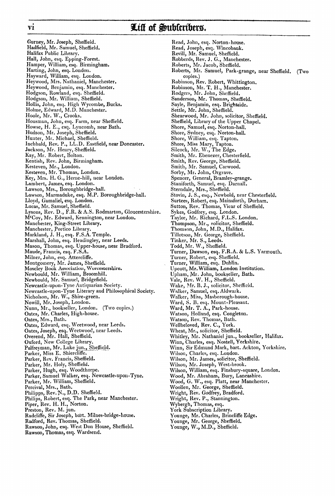#### vi **Att of Subfcribers.**

Gurney, Mr. Joseph, Sheffield. Hadfield, Mr. Samuel, Sheffield. Halifax Public Library. Hall, John, esq. Epping-Forest. Hamper, William, esq. Birmingham. Harting, John, esq. London. Hayward, William, esq. London. Heywood, Mrs. Nathaniel, Manchester. Heywood, Benjamin, esq. Manchester. Hodgson, Rowland, esq. Sheffield. Hodgson, Mr. William, Sheffield. Hollis, John, esq. High Wycombe, Bucks. Holme, Edward, M.D. Manchester. Hoole, Mr. W., Crooks. Housman, John, esq. Farm, near Sheffield. Howse, H. E., esq. Lyncomb, near Bath. Hudson, Mr. Joseph, Sheffield. Hunter, Mr. Michael, Sheffield. Inchbald, Rev. P., LL.D. Eastfield, near Doncaster. Jackson, Mr. Henry, Sheffield. Kay, Mr. Robert, Bolton. Kentish, Rev. John, Birmingham. Kesteven, Mr., London. Kesteven, Mr. Thomas, London. Key, Mrs. H. G., Herne-hill, near London. Lambert, James, esq. London. Lawson, Mrs., Boroughbridge-hall. Lawson, Marmaduke, esq. M.P. Boroughbridge-hall. Lloyd, Gamaliel**,** esq. London. Lucas, Mr. Samuel, Sheffield. Lysons, Rev. D., F.R. & A.S. Rodmarton, Gloucestershire. M'Coy, Mr. Edward, Kennington, near London. Manchester, King-Street Library. Manchester, Portico Library. Markland, J. H ., esq. F.S.A. Temple. Marshall, John, esq. Headingley, near Leeds. Mason, Thomas, esq. Upper-house, near Bradford Maude, Francis, esq. F.S.A. Milner, John, esq. Attercliffe. Montgomery, Mr. James, Sheffield. Moseley Book Association, Worcestershire. Newbould, Mr. William, Broomhill. Newbould, Mr. Samuel, Bridgefield. Newcastle-upon-Tyne Antiquarian Society. Newcastle-upon-Tyne Literary and Philosophical Society. Nicholson, Mr. W., Shire-green. Nowill, Mr. Joseph, London. Nunn, Mr., bookseller, London . (Two copies.) Oates, Mr. Charles, High-house. Oates, Mrs,, Bath. Oates, Edward, esq. Weetwood, near Leeds. Oates, Joseph, esq. Weetwood, near Leeds. Overend, Mr. Hall, Sheffield. Oxford, New College Library. Palfreyman, Mr. Luke jun., Sheffield. Parker, Miss E. Shiercliffe. Parker, Rev. Francis, Sheffield. Parker, Mr. Holy, Sheffield. Parker, Hugh, esq. Woodthorpe. Parker, Samuel Walker, esq. Newcastle-upon-Tyne. Parker, Mr. William, Sheffield. Percival, Mrs., Bath. Philipps, Rev. N., D.D. Sheffield. Philips, Robert, esq. The Park, near Manchester. Piper, Rev. H. H., Norton. Preston, Rev. M. jun. Radcliffe, Sir Joseph, bart. Milnes-bridge-house. Radford, Rev. Thomas, Sheffield. Rawson, John, esq. West Don House, Sheffield

Read, John, esq. Norton-house. Read, Joseph, esq. Wincobank. Revill, Mr. Samuel, Sheffield. Robberds, Rev. J. G., Manchester. Roberts, Mr. Jacob, Sheffield. Roberts, Mr. Samuel, Park-grange, near Sheffield. (Two copies.) Robinson, Rev. Robert, Whittington. Robinson, Mr. T. H., Manchester. Rodgers, Mr. John, Sheffield. Sanderson, Mr. Thomas, Sheffield. Sayle, Benjamin, esq. Brightside. Settle, Mr. John, Sheffield. Shearwood, Mr. John, solicitor, Sheffield. Sheffield, Library of the Upper Chapel. Shore, Samuel, esq. Norton-hall. Shore, Sydney, esq. Norton-hall. Shore, William, esq. Tapton. Shore, Miss Mary, Tapton. Silcock, Mr. W., The Edge. Smith, Mr. Ebenezer, Chesterfield. Smith, Rev. George, Sheffield. Smith, Mr. Samuel, Carwood. Sorby, Mr. John, Orgrave. Spencer, General, Bramley-grange. Staniforth, Samuel, esq. Darnall. Sterndale, Mrs., Sheffield. Stovin, J. S., esq., Newbold, near Chesterfield. Surtees, Robert, esq. Mainsforth, Durham. Sutton, Rev. Thomas, Vicar of Sheffield. Sykes, Godfrey, esq. London. Taylor, Mr. Richard, F.L .S . London. Thompson, Mr., solicitor, Sheffield. Thomson, John, M.D., Halifax. Tillotson, Mr. George, Sheffield. Tinker, Mr. S., Leeds. Todd, Mr. W., Sheffield. Turner, Dawson, **esq.** F.R .A. & L.S. Yarmouth. Turner, Robert, esq. Sheffield. Turner, William, esq. Dublin. Upcott, Mr. William, London Institution. Upham, Mr, John, bookseller, Bath. Vale, Rev. W. H., Sheffield. Wake, Mr. B. J., solicitor, Sheffield. Walker, Samuel, esq. Aldwark. Walker, Miss, Masborough-house. Ward, S. B. esq. Mount-Pleasant. Ward, Mr. T. A., Park-house. Watson, Holland, esq. Congleton. Watson, Rev. Thomas, Bath. Wellbeloved, Rev. C., York. Wheat, Mr., solicitor, Sheffield. Whitley, Mr. Nathaniel jun., bookseller, Halifax. Winn, Charles, esq. Nostell, Yorkshire. Winn, Sir Edmund Mark, bart. Ackton, Yorkshire. Wilson, Charles, esq. London. Wilson, Mr. James, solicitor, Sheffield. Wilson, Mr. Joseph, West-brook. Wilson, William, esq. Finsbury-square, London Wood, Mr. Abraham, Bury, Lancashire. Wood, G. W., esq. Platt, near Manchester. Woollen, Mr. George, Sheffield. Wright, Rev. Godfrey, Bradford. Wright, Rev. P., Stannington. Wybergh, Thomas, esq. York Subscription Library. Younge, Mr. Charles, Brincliffe Edge. Younge, Mr. George, Sheffield.

Younge, W., M.D., Sheffield.

Rawson, Thomas, esq. Wardsend.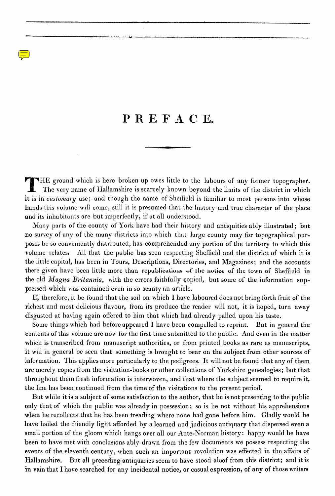# PREFACE.

**T HE ground which is here broken up owes little to the labours of any former topographer. The very name of Hallamshire is scarcely known beyond the limits of the district in which** it is in *customary* use; and though the name of Sheffield is familiar to most persons into whose *hands this volume will come, still it is presumed that the history and true character of the place and its inhabitants are but imperfectly, if at all understood.*

Many parts of the county of York have had their history and antiquities ably illustrated ; but no survey of any of the many districts into which that large county may for topographical purposes be so conveniently distributed, has comprehended any portion of the territory to which this volume relates. All that the public has seen respecting Sheffield and the district of which it is the little capital, has been in Tours, Descriptions, Directories, and Magazines; and the accounts there given have been little more than republications of-the notice of the town of Sheffield in the old *Magna Britannia*, with the errors faithfully copied, but some of the information suppressed which was contained even in so scanty an article.

If, therefore, it be found that the soil on which I have laboured does not bring forth fruit of the richest and most delicious flavour, from its produce the reader will not, it is hoped, turn away disgusted at having again offered to him that which had already palled upon his taste.

Some things which had before appeared I have been compelled to reprint. But in general the contents of this volume are now for the first time submitted to the public . And even in the matter which is transcribed from manuscript authorities, or from printed books as rare as manuscripts, it will in general be seen that something is brought to bear on the subject from other sources of information. This applies more particularly to the pedigrees. It will not be found that any of them are merely copies from the visitation-books or other collections of Yorkshire genealogies; but that throughout them fresh information is interwoven, and that where the subject seemed to require it, the line has been continued from the time of the visitations to the present period.

But while it is a subject of some satisfaction to the author, that he is not presenting to the public only that of which the public was already in possession ; so is he not without his apprehensions when he recollects that he has been treading where none had gone before him. Gladly would he have hailed the friendly light afforded by a learned and judicious antiquary that dispersed even a small portion of the gloom which hangs over all our Ante-Norman history: happy would he have been to have met with conclusions ably drawn from the few documents we possess respecting the events of the eleventh century, when such an important revolution was effected in the affairs of Hallamshire. But all preceding antiquaries seem to have stood aloof from this district; and it is in vain that I have searched for any incidental notice, or casual expression, of any of those writers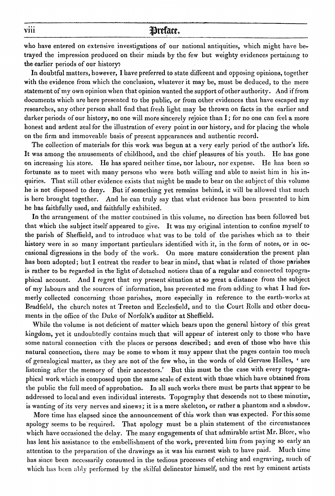#### **preface.**

who have entered on extensive investigations of our national antiquities, which might have betrayed the impression produced on their minds by the few but weighty evidences pertaining to the earlier periods of our history:

In doubtful matters, however, I have preferred to state different and opposing opinions, together with the evidence from which the conclusion, whatever it may be, must be deduced, to the mere statement of my own opinion when that opinion wanted the support of other authority . And if from documents which are here presented to the public, or from other evidences that have escaped my researches, any other person shall find that fresh light may be thrown on facts in the earlier and darker periods of our history, no one will more sincerely rejoice than I; for no one can feel a more honest and ardent zeal for the illustration of every point in our history, and for placing the whole on the firm and immoveable basis of present appearances and authentic record.

The collection of materials for this work was begun at a very early period of the author's life. It was among the amusements of childhood, and the chief pleasures of his youth. He has gone on increasing his store. He has spared neither time, nor labour, nor expense. He has been so fortunate as to meet with many persons who were both willing and able to assist him in his inquiries. That still other evidence exists that might be made to bear on the subject of this volume he is not disposed to deny. But if something yet remains behind, it will be allowed that much is here brought together. And he can truly say that what evidence has been presented to him he has faithfully used, and faithfully exhibited.

In the arrangement of the matter contained in this volume, no direction has been followed but that which the subject itself appeared to give. It was my original intention to confine myself to the parish of Sheffield, and to introduce what was to be told of the parishes which as to their history were in so many important particulars identified with it, in the form of notes, or in occasional digressions in the body of the work . On more mature consideration the present plan has been adopted; but I entreat the reader to bear in mind, that what is related of those parishes is rather to be regarded in the light of detached notices than of a regular and connected topographical account. And I regret that my present situation at so great a distance from the subject of my labours and the sources of information, has prevented me from adding to what I had formerly collected concerning those parishes, more especially in reference to the earth-works at Bradfield, the church notes at Treeton and Ecclesfield, and to the Court Rolls and other documents in the office of the Duke of Norfolk's auditor at Sheffield.

While the volume is not deficient of matter which bears upon the general history of this great kingdom, yet it undoubtedly contains much that will appear of interest only to those who have some natural connection with the places or persons described; and even of those who have this natural connection, there may be some to whom it may appear that the pages contain too much of genealogical matter, as they are not of the few who, in the words of old Gervase Holles, ' are listening after the memory of their ancestors.' But this must be the case with every topographical work which is composed upon the same scale of extent with those which have obtained from the public the full meed of approbation. In all such works there must be parts that appear to be addressed to local and even individual interests. Topography that descends not to these minutiæ, is wanting of its very nerves and sinews; it is a mere skeleton, or rather a phantom and a shadow.

More time has elapsed since the announcement of this work than was expected. For this some apology seems to be required. That apology must be a plain statement of the circumstances which have occasioned the delay. The many engagements of that admirable artist Mr. Blore, who has lent his assistance to the embellishment of the work, prevented him from paying so early an attention to the preparation of the drawings as it was his earnest wish to have paid. Much time has since been necessarily consumed in the tedious processes of etching and engraving, much of which has been ably performed by the skilful delineator himself, and the rest by eminent artists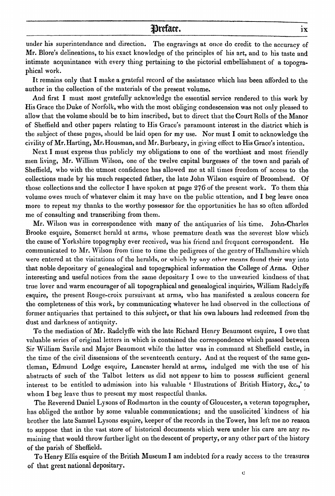#### **Vrefacr. ix**

under his superintendance and direction. The engravings at once do credit to the accuracy of Mr. Blore's delineations, to his exact knowledge of the principles of his art, and to his taste and intimate acquaintance with every thing pertaining to the pictorial embellishment of a topographical work.

It remains only that I make a grateful record of the assistance which has been afforded to the author in the collection of the materials of the present volume.

And first I must most gratefully acknowledge the essential service rendered to this work by His Grace the Duke of Norfolk, who with the most obliging condescension was not only pleased to allow that the volume should be to him inscribed, but to direct that the Court Rolls of the Manor of Sheffield and other papers relating to His Grace's paramount interest in the district which is the subject of these pages, should be laid open for my use. Nor must I omit to acknowledge the civility of Mr. Harting, Mr. Housman, and Mr. Burbeary, in giving effect to His Grace's intention.

Next I must express thus publicly my obligations to one of the worthiest and most friendly men living, Mr. William Wilson, one of the twelve capital burgesses of the town and parish of Sheffield, who with the utmost confidence has allowed me at all times freedom of access to the collections made by his much respected father, the late John Wilson esquire of Broomhead. Of those collections and the collector I have spoken at page  $276$  of the present work. To them this volume owes much of whatever claim it may have on the public attention, and I beg leave once more to repeat my thanks to the worthy possessor for the opportunities he has so often afforded me of consulting and transcribing from them.

Mr. Wilson was in correspondence with many of the antiquaries of his time. John-Charles Brooke esquire, Somerset herald at arms, whose premature death was the severest blow which the cause of Yorkshire topography ever received, was his friend and frequent correspondent. He communicated to Mr. Wilson from time to time the pedigrees of the gentry of Hallamshire which were entered at the visitations of the heralds, or which by any other means found their way into that noble depositary of genealogical and topographical information the College of Arms. Other interesting and useful notices from the same depositary I owe to the unwearied kindness of that true lover and warm encourager of all topographical and genealogical inquiries, William Radclyffe esquire, the present Rouge-croix pursuivant at arms, who has manifested a zealous concern for the completeness of this work, by communicating whatever he had observed in the collections of former antiquaries that pertained to this subject, or that his own labours had redeemed from tho dust and darkness of antiquity.

To the mediation of Mr. Radclyffe with the late Richard Henry Beaumont esquire, I owe that valuable series of original letters in which is contained the correspondence which passed between Sir William Savile and Major Beaumont while the latter was in command at Sheffield castle, in the time of the civil dissensions of the seventeenth century. And at the request of the same gentleman, Edmund Lodge esquire, Lancaster herald at arms, indulged me with the use of his abstracts of such of the Talbot letters as did not appear to him to possess sufficient general interest to be entitled to admission into his valuable ' Illustrations of British History, &c.,' to whom I beg leave thus to present my most respectful thanks.

The Reverend Daniel Lysons of Rodmarton in the county of Gloucester, a veteran topographer, has obliged the author by some valuable communications; and the unsolicited kindness of his brother the late Samuel Lysons esquire, keeper of the records in the Tower, has left me no reason to suppose that in the vast store of historical documents which were under his care are any remaining that would throw further light on the descent of property, or any other part of the history of the parish of Sheffield.

To Henry Ellis esquire of the British Museum I am indebted for a ready access to the treasures of that great national depositary.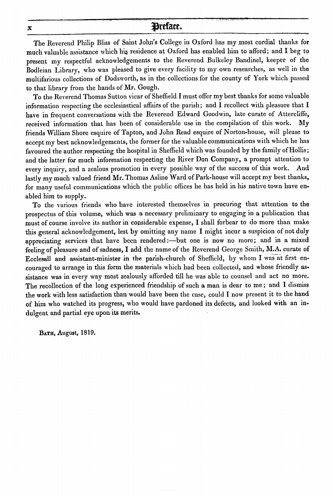#### **x Preface.**

The Reverend Philip Bliss of Saint John's College in Oxford has my most cordial thanks for much valuable assistance which hig residence at Oxford has enabled him to afford; and I beg to present my respectful acknowledgements to the Reverend Bulkeley Bandinel, keeper of the Bodleian Library, who was pleased to give every facility to my own researches, as well in the multifarious collections of Dodsworth, as in the collections for the county of York which passed to that library from the hands of Mr. Gough.

To the Reverend Thomas Sutton vicar of Sheffield I must offer my best thanks for some valuable information respecting the ecclesiastical affairs of the parish; and I recollect with pleasure that I have in frequent conversations with the Reverend Edward Goodwin, late curate of Attercliffe, received information that has been of considerable use in the compilation of this work. My friends William Shore esquire of Tapton, and John Read esquire of Norton-house, will please to accept my best acknowledgements, the former for the valuable communications with which he has favoured the author respecting the hospital in Sheffield which was founded by the family of Hollis; and the latter for much information respecting the River Don Company, a prompt attention to every inquiry, and a zealous promotion in every possible way of the success of this work . And lastly my much valued friend Mr. Thomas Asline Ward of Park-house will accept my best thanks, for many useful communications which the public offices he has held in his native town have enabled him to supply.

To the various friends who have interested themselves in procuring that attention to the prospectus of this volume, which was a necessary preliminary to engaging in a publication that must of course involve its author in considerable expense, I shall forbear to do more than make this general acknowledgement, lest by omitting any name I might incur a suspicion of not duly appreciating services that have been rendered :—but one is now no more; and in a mixed feeling of pleasure and of sadness, I add the name of the Reverend George Smith, M.A. curate of Ecclesall and assistant-minister in the parish-church of Sheffield, by whom I was at first encouraged to arrange in this form the materials which had been collected, and whose friendly assistance was in every way most zealously afforded till he was able to counsel and act no more. The recollection of the long experienced friendship of such a man is dear to me; and I dismiss the work with less satisfaction than would have been the case, could I now present it to the hand of him who watched its progress, who would have pardoned its defects, and looked with an indulgent and partial eye upon its merits.

**BATH, August, 1819 .**